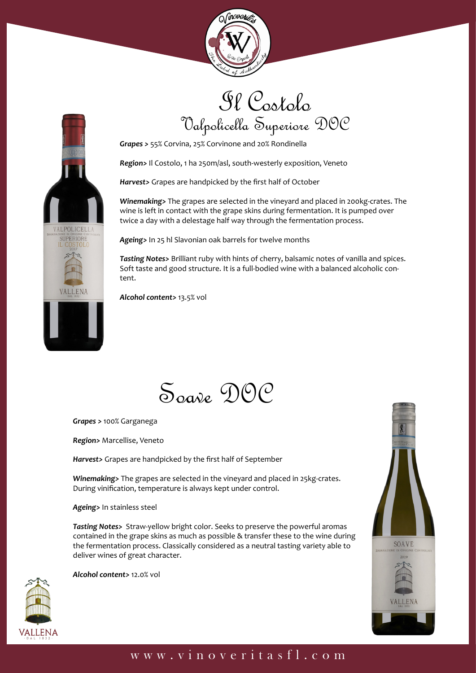



## Il Costolo Valpolicella Superiore DOC

*Grapes >* 55% Corvina, 25% Corvinone and 20% Rondinella

*Region>* Il Costolo, 1 ha 250m/asl, south-westerly exposition, Veneto

*Harvest>* Grapes are handpicked by the first half of October

*Winemaking>* The grapes are selected in the vineyard and placed in 200kg-crates. The wine is left in contact with the grape skins during fermentation. It is pumped over twice a day with a delestage half way through the fermentation process.

*Ageing>* In 25 hl Slavonian oak barrels for twelve months

*Tasting Notes>* Brilliant ruby with hints of cherry, balsamic notes of vanilla and spices. Soft taste and good structure. It is a full-bodied wine with a balanced alcoholic content.

*Alcohol content>* 13.5% vol

Soave DOC

*Grapes >* 100% Garganega

*Region>* Marcellise, Veneto

*Harvest>* Grapes are handpicked by the first half of September

*Winemaking>* The grapes are selected in the vineyard and placed in 25kg-crates. During vinification, temperature is always kept under control.

#### *Ageing>* In stainless steel

*Tasting Notes>* Straw-yellow bright color. Seeks to preserve the powerful aromas contained in the grape skins as much as possible & transfer these to the wine during the fermentation process. Classically considered as a neutral tasting variety able to deliver wines of great character.

*Alcohol content>* 12.0% vol





#### www.vinoveritasfl.com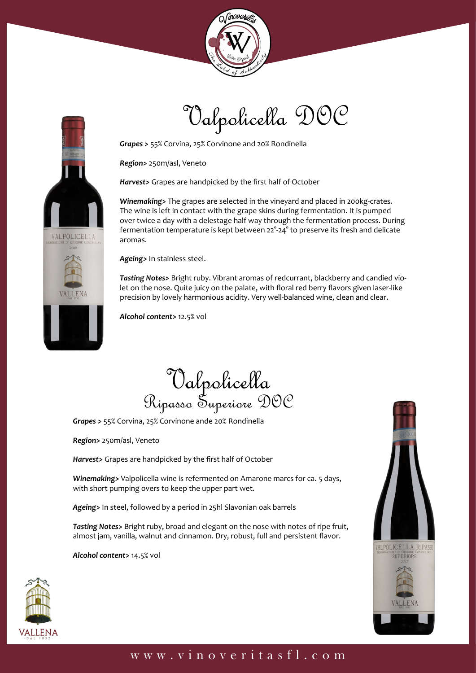





*Grapes >* 55% Corvina, 25% Corvinone and 20% Rondinella

*Region>* 250m/asl, Veneto

*Harvest>* Grapes are handpicked by the first half of October

*Winemaking>* The grapes are selected in the vineyard and placed in 200kg-crates. The wine is left in contact with the grape skins during fermentation. It is pumped over twice a day with a delestage half way through the fermentation process. During fermentation temperature is kept between 22°-24° to preserve its fresh and delicate aromas.

*Ageing>* In stainless steel.

*Tasting Notes>* Bright ruby. Vibrant aromas of redcurrant, blackberry and candied violet on the nose. Quite juicy on the palate, with floral red berry flavors given laser-like precision by lovely harmonious acidity. Very well-balanced wine, clean and clear.

*Alcohol content>* 12.5% vol

Valpolicella Ripasso Superiore DOC

*Grapes >* 55% Corvina, 25% Corvinone ande 20% Rondinella

*Region>* 250m/asl, Veneto

*Harvest>* Grapes are handpicked by the first half of October

*Winemaking>* Valpolicella wine is refermented on Amarone marcs for ca. 5 days, with short pumping overs to keep the upper part wet.

*Ageing>* In steel, followed by a period in 25hl Slavonian oak barrels

*Tasting Notes>* Bright ruby, broad and elegant on the nose with notes of ripe fruit, almost jam, vanilla, walnut and cinnamon. Dry, robust, full and persistent flavor.

*Alcohol content>* 14.5% vol





### www.vinoveritasfl.com